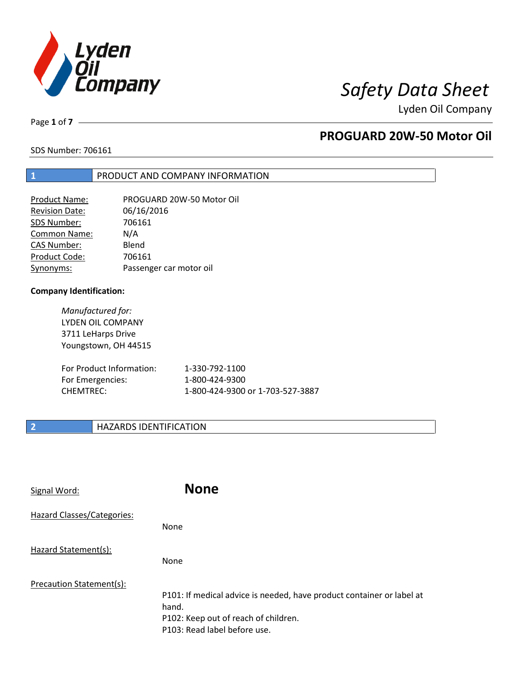

Page **1** of **7**

# **PROGUARD 20W-50 Motor Oil**

SDS Number: 706161

### **1** PRODUCT AND COMPANY INFORMATION

| <b>Product Name:</b>  | PROGUARD 20W-50 Motor Oil |
|-----------------------|---------------------------|
| <b>Revision Date:</b> | 06/16/2016                |
| SDS Number:           | 706161                    |
| <b>Common Name:</b>   | N/A                       |
| <b>CAS Number:</b>    | Blend                     |
| Product Code:         | 706161                    |
| Synonyms:             | Passenger car motor oil   |

### **Company Identification:**

*Manufactured for:* LYDEN OIL COMPANY 3711 LeHarps Drive Youngstown, OH 44515

| For Product Information: | 1-330-792-1100                   |
|--------------------------|----------------------------------|
| For Emergencies:         | 1-800-424-9300                   |
| CHEMTREC:                | 1-800-424-9300 or 1-703-527-3887 |

### **2 HAZARDS IDENTIFICATION**

| Signal Word:               | <b>None</b>                                                                                                                                            |
|----------------------------|--------------------------------------------------------------------------------------------------------------------------------------------------------|
| Hazard Classes/Categories: | None                                                                                                                                                   |
| Hazard Statement(s):       | None                                                                                                                                                   |
| Precaution Statement(s):   | P101: If medical advice is needed, have product container or label at<br>hand.<br>P102: Keep out of reach of children.<br>P103: Read label before use. |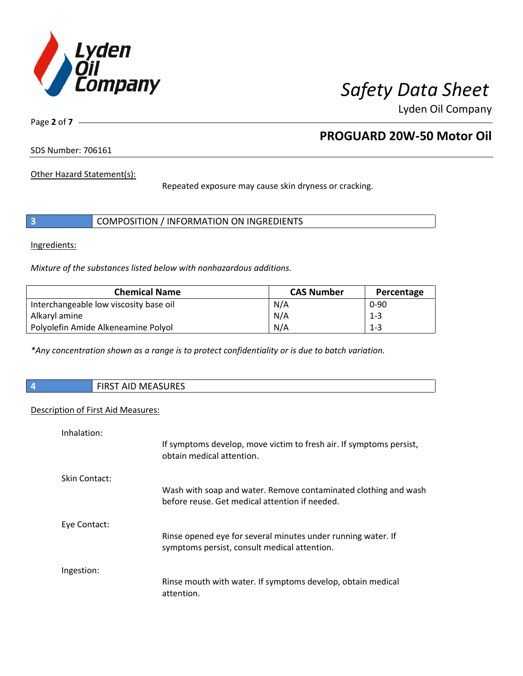

Page **2** of **7**

# **PROGUARD 20W-50 Motor Oil**

SDS Number: 706161

Other Hazard Statement(s):

Repeated exposure may cause skin dryness or cracking.

| COMPOSITION / INFORMATION ON INGREDIENTS |  |
|------------------------------------------|--|
|------------------------------------------|--|

Ingredients:

*Mixture of the substances listed below with nonhazardous additions.*

| <b>Chemical Name</b>                   | <b>CAS Number</b> | Percentage |
|----------------------------------------|-------------------|------------|
| Interchangeable low viscosity base oil | N/A               | $0 - 90$   |
| Alkaryl amine                          | N/A               | $1 - 3$    |
| Polyolefin Amide Alkeneamine Polyol    | N/A               | $1 - 3$    |

*\*Any concentration shown as a range is to protect confidentiality or is due to batch variation.*

| $\vert$ 4 | MCTACIDTC<br>CIDCT.<br>$\sqrt{2}$<br>ו כאו⊦ ≀<br><b>IVILAJUNEJ</b><br>שור |
|-----------|---------------------------------------------------------------------------|
|           |                                                                           |

### Description of First Aid Measures:

| Inhalation:   |                                                                                                                   |
|---------------|-------------------------------------------------------------------------------------------------------------------|
|               | If symptoms develop, move victim to fresh air. If symptoms persist,<br>obtain medical attention.                  |
| Skin Contact: |                                                                                                                   |
|               | Wash with soap and water. Remove contaminated clothing and wash<br>before reuse. Get medical attention if needed. |
| Eye Contact:  |                                                                                                                   |
|               | Rinse opened eye for several minutes under running water. If<br>symptoms persist, consult medical attention.      |
| Ingestion:    |                                                                                                                   |
|               | Rinse mouth with water. If symptoms develop, obtain medical<br>attention.                                         |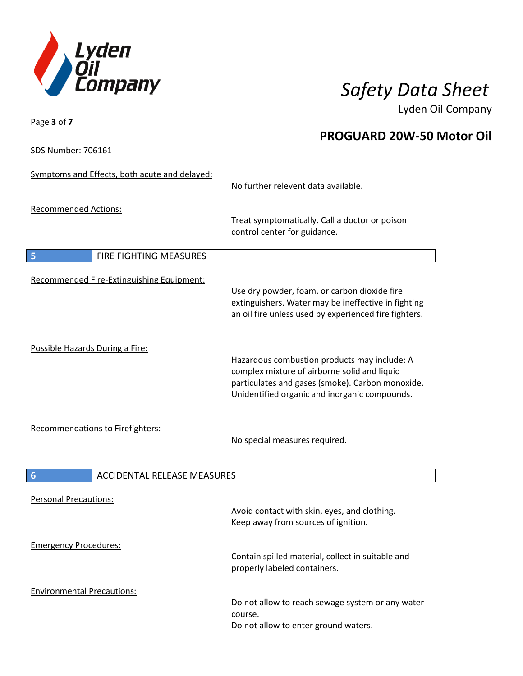

Page **3** of **7 PROGUARD 20W-50 Motor Oil** SDS Number: 706161 Symptoms and Effects, both acute and delayed: No further relevent data available. Recommended Actions: Treat symptomatically. Call a doctor or poison control center for guidance. **5** FIRE FIGHTING MEASURES Recommended Fire-Extinguishing Equipment: Use dry powder, foam, or carbon dioxide fire extinguishers. Water may be ineffective in fighting an oil fire unless used by experienced fire fighters. Possible Hazards During a Fire: Hazardous combustion products may include: A complex mixture of airborne solid and liquid particulates and gases (smoke). Carbon monoxide. Unidentified organic and inorganic compounds. Recommendations to Firefighters: No special measures required. **6 ACCIDENTAL RELEASE MEASURES** Personal Precautions: Avoid contact with skin, eyes, and clothing. Keep away from sources of ignition. Emergency Procedures: Contain spilled material, collect in suitable and properly labeled containers. Environmental Precautions: Do not allow to reach sewage system or any water course. Do not allow to enter ground waters.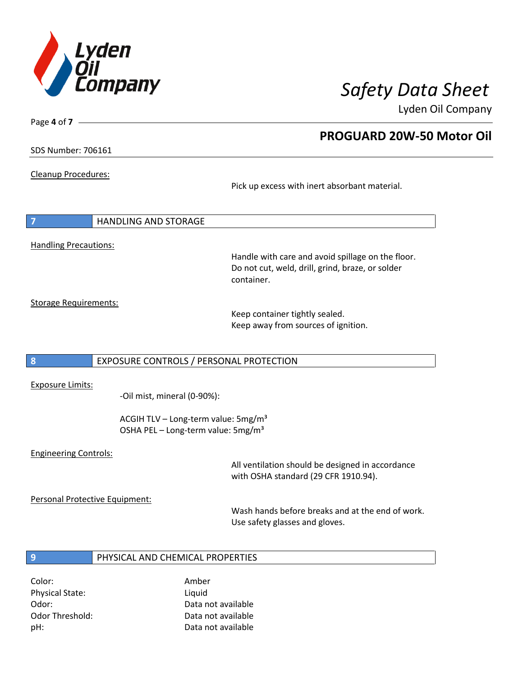

**PROGUARD 20W-50 Motor Oil**

Lyden Oil Company

SDS Number: 706161

Page **4** of **7**

Cleanup Procedures:

Pick up excess with inert absorbant material.

**7** HANDLING AND STORAGE Handling Precautions:

Handle with care and avoid spillage on the floor. Do not cut, weld, drill, grind, braze, or solder container.

Storage Requirements:

Keep container tightly sealed. Keep away from sources of ignition.

### **8** EXPOSURE CONTROLS / PERSONAL PROTECTION

Exposure Limits:

-Oil mist, mineral (0-90%):

ACGIH TLV – Long-term value: 5mg/m<sup>3</sup> OSHA PEL - Long-term value: 5mg/m<sup>3</sup>

### Engineering Controls:

All ventilation should be designed in accordance with OSHA standard (29 CFR 1910.94).

Personal Protective Equipment:

Wash hands before breaks and at the end of work. Use safety glasses and gloves.

### **9** PHYSICAL AND CHEMICAL PROPERTIES

Color: Amber Physical State: Liquid

Odor: Data not available Odor Threshold: Data not available pH: Data not available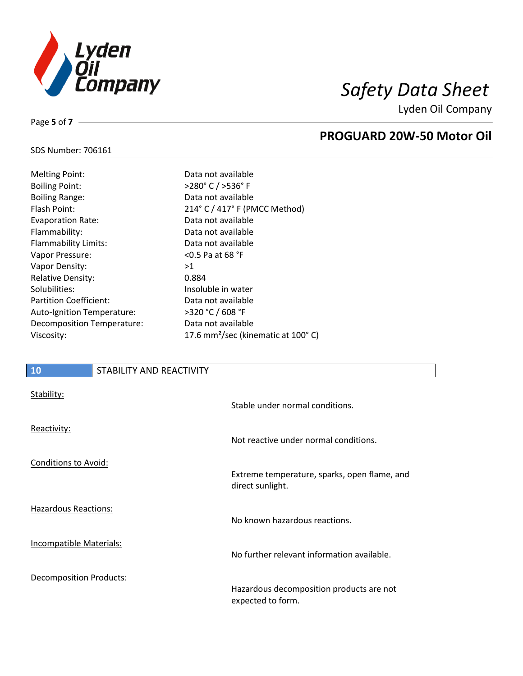

**PROGUARD 20W-50 Motor Oil**

Lyden Oil Company

# SDS Number: 706161

Page **5** of **7**

| <b>Melting Point:</b>         | Da  |
|-------------------------------|-----|
| <b>Boiling Point:</b>         | >2  |
| <b>Boiling Range:</b>         | Da  |
| Flash Point:                  | 21  |
| <b>Evaporation Rate:</b>      | Da  |
| Flammability:                 | Da  |
| <b>Flammability Limits:</b>   | Da  |
| Vapor Pressure:               | <0  |
| Vapor Density:                | >1  |
| <b>Relative Density:</b>      | 0.8 |
| Solubilities:                 | lns |
| <b>Partition Coefficient:</b> | Da  |
| Auto-Ignition Temperature:    | >3  |
| Decomposition Temperature:    | Da  |
| Viscosity:                    | 17  |

Data not available >280° C / >536° F Data not available 214° C / 417° F (PMCC Method) Data not available Data not available Data not available  $<$  0.5 Pa at 68 °F 0.884 Insoluble in water Data not available >320 °C / 608 °F Data not available 17.6 mm<sup>2</sup>/sec (kinematic at 100°C)

### **10** STABILITY AND REACTIVITY

| Stability:                     | Stable under normal conditions.                                  |
|--------------------------------|------------------------------------------------------------------|
| Reactivity:                    | Not reactive under normal conditions.                            |
| <b>Conditions to Avoid:</b>    | Extreme temperature, sparks, open flame, and<br>direct sunlight. |
| <b>Hazardous Reactions:</b>    | No known hazardous reactions.                                    |
| <b>Incompatible Materials:</b> | No further relevant information available.                       |
| Decomposition Products:        | Hazardous decomposition products are not<br>expected to form.    |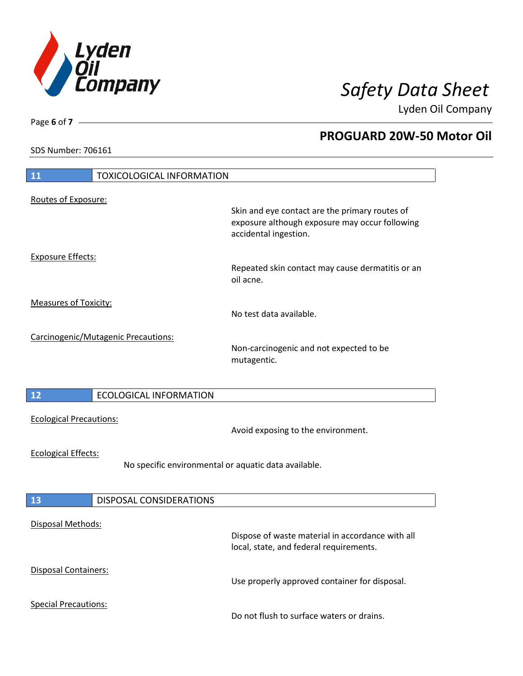

**PROGUARD 20W-50 Motor Oil**

Lyden Oil Company

SDS Number: 706161

# **11** TOXICOLOGICAL INFORMATION Routes of Exposure: Skin and eye contact are the primary routes of exposure although exposure may occur following accidental ingestion. Exposure Effects: Repeated skin contact may cause dermatitis or an oil acne. Measures of Toxicity: No test data available. Carcinogenic/Mutagenic Precautions: Non-carcinogenic and not expected to be mutagentic. **12** ECOLOGICAL INFORMATION Ecological Precautions: Avoid exposing to the environment. Ecological Effects: No specific environmental or aquatic data available. **13** DISPOSAL CONSIDERATIONS Disposal Methods: Dispose of waste material in accordance with all local, state, and federal requirements. Disposal Containers: Use properly approved container for disposal. Special Precautions: Do not flush to surface waters or drains.

Page **6** of **7**